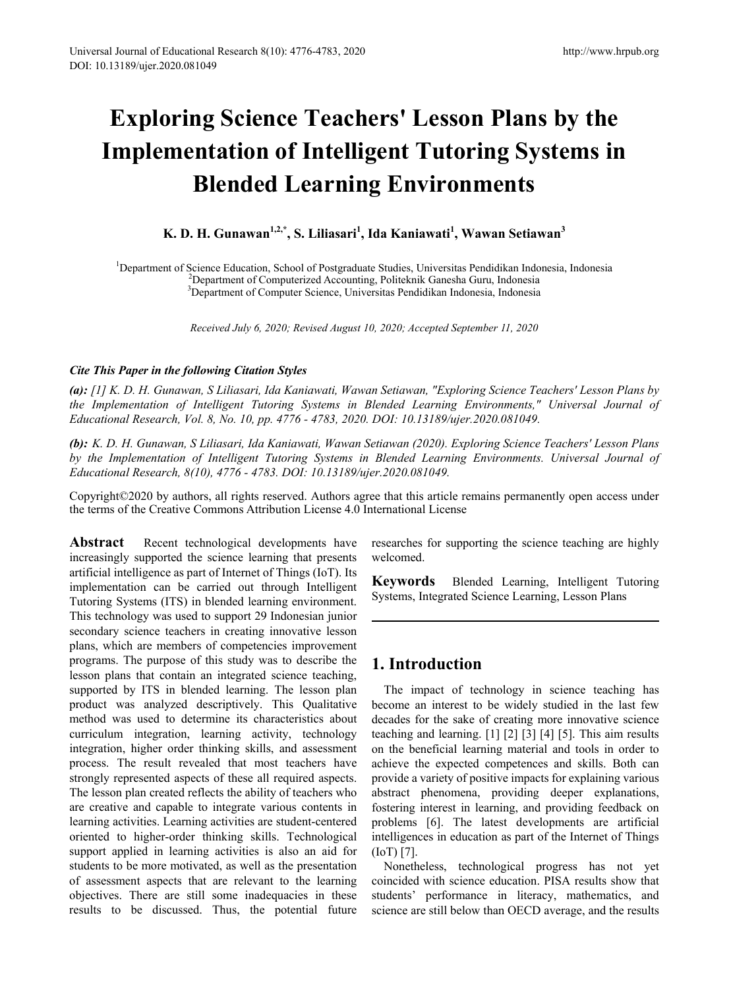# **Exploring Science Teachers' Lesson Plans by the Implementation of Intelligent Tutoring Systems in Blended Learning Environments**

**K. D. H. Gunawan1,2,\*, S. Liliasari1 , Ida Kaniawati<sup>1</sup> , Wawan Setiawan<sup>3</sup>**

<sup>1</sup>Department of Science Education, School of Postgraduate Studies, Universitas Pendidikan Indonesia, Indonesia<sup>2</sup> <sup>2</sup>Department of Computerized Accounting, Politeknik Ganesha Guru, Indonesia <sup>3</sup>Department of Computer Science, Universitas Pendidikan Indonesia, Indonesia

*Received July 6, 2020; Revised August 10, 2020; Accepted September 11, 2020*

#### *Cite This Paper in the following Citation Styles*

*(a): [1] K. D. H. Gunawan, S Liliasari, Ida Kaniawati, Wawan Setiawan, "Exploring Science Teachers' Lesson Plans by the Implementation of Intelligent Tutoring Systems in Blended Learning Environments," Universal Journal of Educational Research, Vol. 8, No. 10, pp. 4776 - 4783, 2020. DOI: 10.13189/ujer.2020.081049.* 

*(b): K. D. H. Gunawan, S Liliasari, Ida Kaniawati, Wawan Setiawan (2020). Exploring Science Teachers' Lesson Plans by the Implementation of Intelligent Tutoring Systems in Blended Learning Environments. Universal Journal of Educational Research, 8(10), 4776 - 4783. DOI: 10.13189/ujer.2020.081049.* 

Copyright©2020 by authors, all rights reserved. Authors agree that this article remains permanently open access under the terms of the Creative Commons Attribution License 4.0 International License

**Abstract** Recent technological developments have increasingly supported the science learning that presents artificial intelligence as part of Internet of Things (IoT). Its implementation can be carried out through Intelligent Tutoring Systems (ITS) in blended learning environment. This technology was used to support 29 Indonesian junior secondary science teachers in creating innovative lesson plans, which are members of competencies improvement programs. The purpose of this study was to describe the lesson plans that contain an integrated science teaching, supported by ITS in blended learning. The lesson plan product was analyzed descriptively. This Qualitative method was used to determine its characteristics about curriculum integration, learning activity, technology integration, higher order thinking skills, and assessment process. The result revealed that most teachers have strongly represented aspects of these all required aspects. The lesson plan created reflects the ability of teachers who are creative and capable to integrate various contents in learning activities. Learning activities are student-centered oriented to higher-order thinking skills. Technological support applied in learning activities is also an aid for students to be more motivated, as well as the presentation of assessment aspects that are relevant to the learning objectives. There are still some inadequacies in these results to be discussed. Thus, the potential future

researches for supporting the science teaching are highly welcomed.

**Keywords** Blended Learning, Intelligent Tutoring Systems, Integrated Science Learning, Lesson Plans

## **1. Introduction**

The impact of technology in science teaching has become an interest to be widely studied in the last few decades for the sake of creating more innovative science teaching and learning. [1] [2] [3] [4] [5]. This aim results on the beneficial learning material and tools in order to achieve the expected competences and skills. Both can provide a variety of positive impacts for explaining various abstract phenomena, providing deeper explanations, fostering interest in learning, and providing feedback on problems [6]. The latest developments are artificial intelligences in education as part of the Internet of Things (IoT) [7].

Nonetheless, technological progress has not yet coincided with science education. PISA results show that students' performance in literacy, mathematics, and science are still below than OECD average, and the results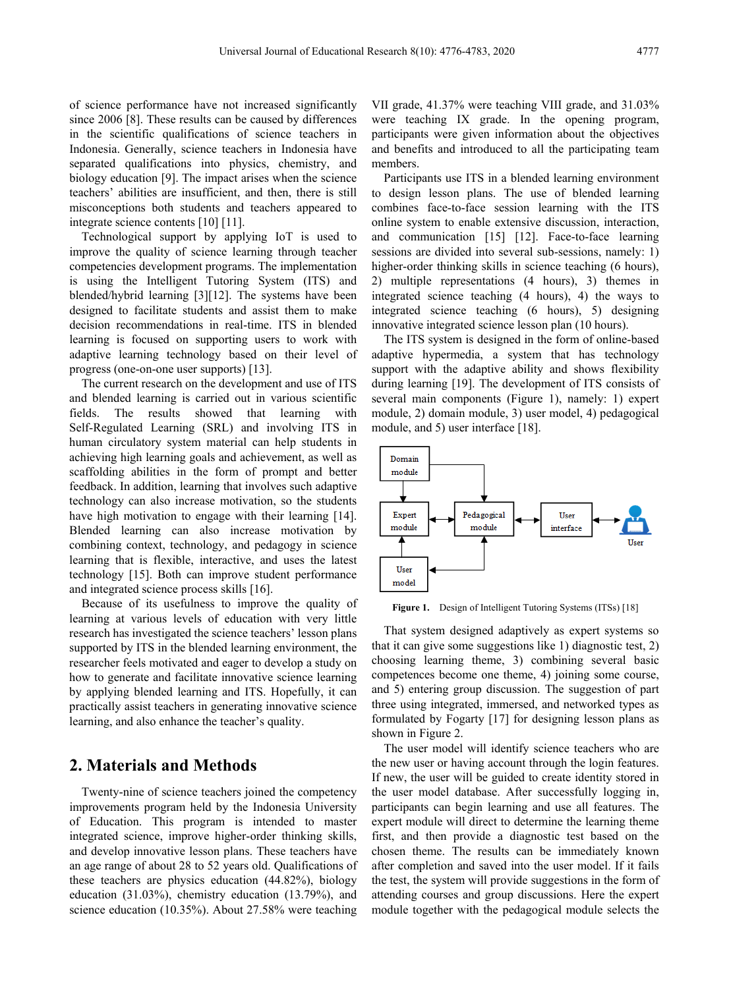of science performance have not increased significantly since 2006 [8]. These results can be caused by differences in the scientific qualifications of science teachers in Indonesia. Generally, science teachers in Indonesia have separated qualifications into physics, chemistry, and biology education [9]. The impact arises when the science teachers' abilities are insufficient, and then, there is still misconceptions both students and teachers appeared to integrate science contents [10] [11].

Technological support by applying IoT is used to improve the quality of science learning through teacher competencies development programs. The implementation is using the Intelligent Tutoring System (ITS) and blended/hybrid learning [3][12]. The systems have been designed to facilitate students and assist them to make decision recommendations in real-time. ITS in blended learning is focused on supporting users to work with adaptive learning technology based on their level of progress (one-on-one user supports) [13].

The current research on the development and use of ITS and blended learning is carried out in various scientific fields. The results showed that learning with Self-Regulated Learning (SRL) and involving ITS in human circulatory system material can help students in achieving high learning goals and achievement, as well as scaffolding abilities in the form of prompt and better feedback. In addition, learning that involves such adaptive technology can also increase motivation, so the students have high motivation to engage with their learning [14]. Blended learning can also increase motivation by combining context, technology, and pedagogy in science learning that is flexible, interactive, and uses the latest technology [15]. Both can improve student performance and integrated science process skills [16].

Because of its usefulness to improve the quality of learning at various levels of education with very little research has investigated the science teachers' lesson plans supported by ITS in the blended learning environment, the researcher feels motivated and eager to develop a study on how to generate and facilitate innovative science learning by applying blended learning and ITS. Hopefully, it can practically assist teachers in generating innovative science learning, and also enhance the teacher's quality.

## **2. Materials and Methods**

Twenty-nine of science teachers joined the competency improvements program held by the Indonesia University of Education. This program is intended to master integrated science, improve higher-order thinking skills, and develop innovative lesson plans. These teachers have an age range of about 28 to 52 years old. Qualifications of these teachers are physics education (44.82%), biology education (31.03%), chemistry education (13.79%), and science education (10.35%). About 27.58% were teaching

VII grade, 41.37% were teaching VIII grade, and 31.03% were teaching IX grade. In the opening program, participants were given information about the objectives and benefits and introduced to all the participating team members.

Participants use ITS in a blended learning environment to design lesson plans. The use of blended learning combines face-to-face session learning with the ITS online system to enable extensive discussion, interaction, and communication [15] [12]. Face-to-face learning sessions are divided into several sub-sessions, namely: 1) higher-order thinking skills in science teaching (6 hours). 2) multiple representations (4 hours), 3) themes in integrated science teaching (4 hours), 4) the ways to integrated science teaching (6 hours), 5) designing innovative integrated science lesson plan (10 hours).

The ITS system is designed in the form of online-based adaptive hypermedia, a system that has technology support with the adaptive ability and shows flexibility during learning [19]. The development of ITS consists of several main components (Figure 1), namely: 1) expert module, 2) domain module, 3) user model, 4) pedagogical module, and 5) user interface [18].



**Figure 1.** Design of Intelligent Tutoring Systems (ITSs) [18]

That system designed adaptively as expert systems so that it can give some suggestions like 1) diagnostic test, 2) choosing learning theme, 3) combining several basic competences become one theme, 4) joining some course, and 5) entering group discussion. The suggestion of part three using integrated, immersed, and networked types as formulated by Fogarty [17] for designing lesson plans as shown in Figure 2.

The user model will identify science teachers who are the new user or having account through the login features. If new, the user will be guided to create identity stored in the user model database. After successfully logging in, participants can begin learning and use all features. The expert module will direct to determine the learning theme first, and then provide a diagnostic test based on the chosen theme. The results can be immediately known after completion and saved into the user model. If it fails the test, the system will provide suggestions in the form of attending courses and group discussions. Here the expert module together with the pedagogical module selects the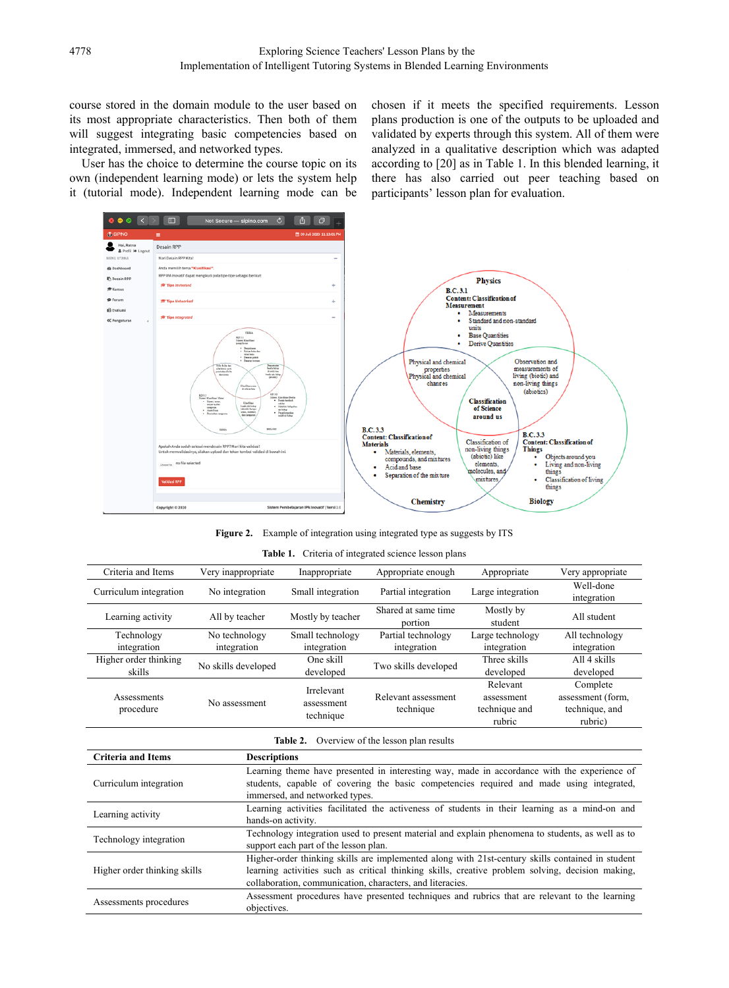course stored in the domain module to the user based on its most appropriate characteristics. Then both of them will suggest integrating basic competencies based on integrated, immersed, and networked types.

User has the choice to determine the course topic on its own (independent learning mode) or lets the system help it (tutorial mode). Independent learning mode can be chosen if it meets the specified requirements. Lesson plans production is one of the outputs to be uploaded and validated by experts through this system. All of them were analyzed in a qualitative description which was adapted according to [20] as in Table 1. In this blended learning, it there has also carried out peer teaching based on participants' lesson plan for evaluation.



Figure 2. Example of integration using integrated type as suggests by ITS

|  | <b>Table 1.</b> Criteria of integrated science lesson plans |  |  |
|--|-------------------------------------------------------------|--|--|
|  |                                                             |  |  |

| Criteria and Items              | Very inappropriate           | Inappropriate                         | Appropriate enough                | Appropriate                                       | Very appropriate                                           |
|---------------------------------|------------------------------|---------------------------------------|-----------------------------------|---------------------------------------------------|------------------------------------------------------------|
| Curriculum integration          | No integration               | Small integration                     | Partial integration               | Large integration                                 | Well-done<br>integration                                   |
| Learning activity               | All by teacher               | Mostly by teacher                     | Shared at same time<br>portion    | Mostly by<br>student                              | All student                                                |
| Technology<br>integration       | No technology<br>integration | Small technology<br>integration       | Partial technology<br>integration | Large technology<br>integration                   | All technology<br>integration                              |
| Higher order thinking<br>skills | No skills developed          | One skill<br>developed                | Two skills developed              | Three skills<br>developed                         | All 4 skills<br>developed                                  |
| Assessments<br>procedure        | No assessment                | Irrelevant<br>assessment<br>technique | Relevant assessment<br>technique  | Relevant<br>assessment<br>technique and<br>rubric | Complete<br>assessment (form,<br>technique, and<br>rubric) |

|  | <b>Table 2.</b> Overview of the lesson plan results |  |  |  |
|--|-----------------------------------------------------|--|--|--|
|--|-----------------------------------------------------|--|--|--|

| <b>Criteria and Items</b>    | <b>Descriptions</b>                                                                              |
|------------------------------|--------------------------------------------------------------------------------------------------|
|                              | Learning theme have presented in interesting way, made in accordance with the experience of      |
| Curriculum integration       | students, capable of covering the basic competencies required and made using integrated,         |
|                              | immersed, and networked types.                                                                   |
| Learning activity            | Learning activities facilitated the activeness of students in their learning as a mind-on and    |
|                              | hands-on activity.                                                                               |
| Technology integration       | Technology integration used to present material and explain phenomena to students, as well as to |
|                              | support each part of the lesson plan.                                                            |
|                              | Higher-order thinking skills are implemented along with 21st-century skills contained in student |
| Higher order thinking skills | learning activities such as critical thinking skills, creative problem solving, decision making, |
|                              | collaboration, communication, characters, and literacies.                                        |
|                              | Assessment procedures have presented techniques and rubrics that are relevant to the learning    |
| Assessments procedures       | objectives.                                                                                      |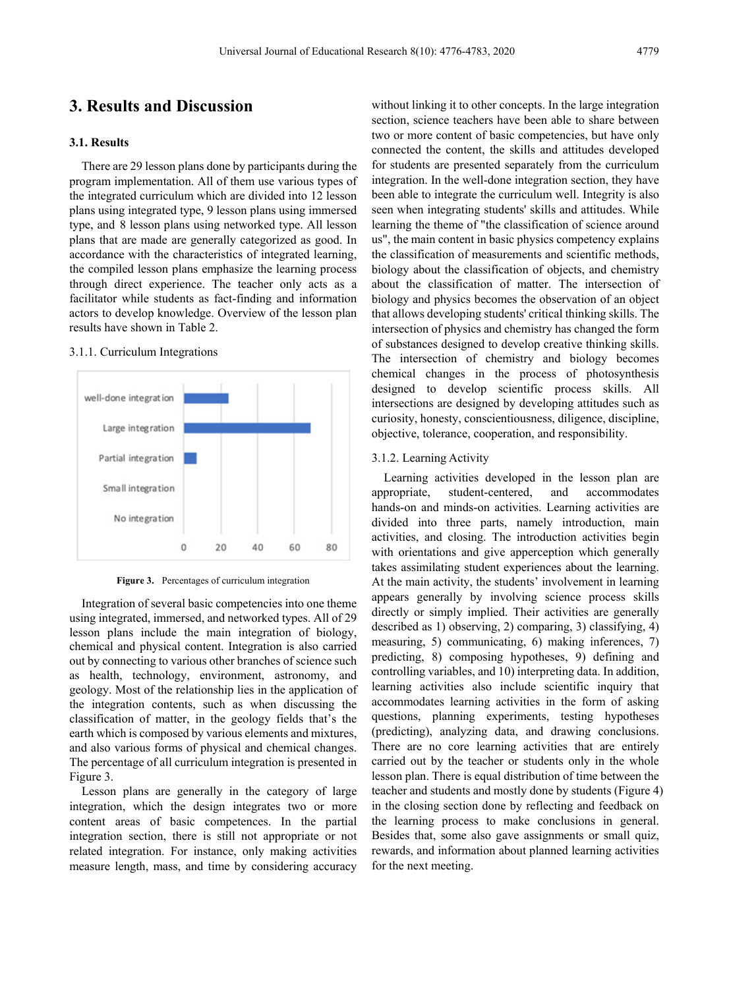## **3. Results and Discussion**

#### **3.1. Results**

There are 29 lesson plans done by participants during the program implementation. All of them use various types of the integrated curriculum which are divided into 12 lesson plans using integrated type, 9 lesson plans using immersed type, and 8 lesson plans using networked type. All lesson plans that are made are generally categorized as good. In accordance with the characteristics of integrated learning, the compiled lesson plans emphasize the learning process through direct experience. The teacher only acts as a facilitator while students as fact-finding and information actors to develop knowledge. Overview of the lesson plan results have shown in Table 2.

#### 3.1.1. Curriculum Integrations



**Figure 3.** Percentages of curriculum integration

Integration of several basic competencies into one theme using integrated, immersed, and networked types. All of 29 lesson plans include the main integration of biology, chemical and physical content. Integration is also carried out by connecting to various other branches of science such as health, technology, environment, astronomy, and geology. Most of the relationship lies in the application of the integration contents, such as when discussing the classification of matter, in the geology fields that's the earth which is composed by various elements and mixtures, and also various forms of physical and chemical changes. The percentage of all curriculum integration is presented in Figure 3.

Lesson plans are generally in the category of large integration, which the design integrates two or more content areas of basic competences. In the partial integration section, there is still not appropriate or not related integration. For instance, only making activities measure length, mass, and time by considering accuracy

without linking it to other concepts. In the large integration section, science teachers have been able to share between two or more content of basic competencies, but have only connected the content, the skills and attitudes developed for students are presented separately from the curriculum integration. In the well-done integration section, they have been able to integrate the curriculum well. Integrity is also seen when integrating students' skills and attitudes. While learning the theme of "the classification of science around us", the main content in basic physics competency explains the classification of measurements and scientific methods, biology about the classification of objects, and chemistry about the classification of matter. The intersection of biology and physics becomes the observation of an object that allows developing students' critical thinking skills. The intersection of physics and chemistry has changed the form of substances designed to develop creative thinking skills. The intersection of chemistry and biology becomes chemical changes in the process of photosynthesis designed to develop scientific process skills. All intersections are designed by developing attitudes such as curiosity, honesty, conscientiousness, diligence, discipline, objective, tolerance, cooperation, and responsibility.

#### 3.1.2. Learning Activity

Learning activities developed in the lesson plan are appropriate, student-centered, and accommodates hands-on and minds-on activities. Learning activities are divided into three parts, namely introduction, main activities, and closing. The introduction activities begin with orientations and give apperception which generally takes assimilating student experiences about the learning. At the main activity, the students' involvement in learning appears generally by involving science process skills directly or simply implied. Their activities are generally described as 1) observing, 2) comparing, 3) classifying, 4) measuring, 5) communicating, 6) making inferences, 7) predicting, 8) composing hypotheses, 9) defining and controlling variables, and 10) interpreting data. In addition, learning activities also include scientific inquiry that accommodates learning activities in the form of asking questions, planning experiments, testing hypotheses (predicting), analyzing data, and drawing conclusions. There are no core learning activities that are entirely carried out by the teacher or students only in the whole lesson plan. There is equal distribution of time between the teacher and students and mostly done by students (Figure 4) in the closing section done by reflecting and feedback on the learning process to make conclusions in general. Besides that, some also gave assignments or small quiz, rewards, and information about planned learning activities for the next meeting.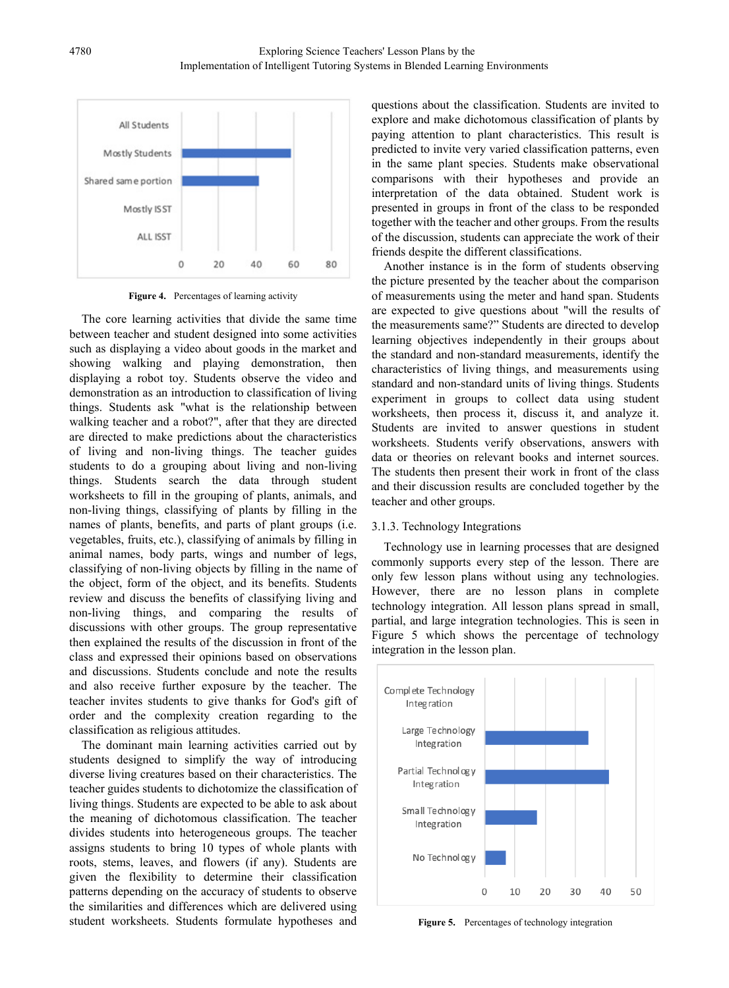

**Figure 4.** Percentages of learning activity

The core learning activities that divide the same time between teacher and student designed into some activities such as displaying a video about goods in the market and showing walking and playing demonstration, then displaying a robot toy. Students observe the video and demonstration as an introduction to classification of living things. Students ask "what is the relationship between walking teacher and a robot?", after that they are directed are directed to make predictions about the characteristics of living and non-living things. The teacher guides students to do a grouping about living and non-living things. Students search the data through student worksheets to fill in the grouping of plants, animals, and non-living things, classifying of plants by filling in the names of plants, benefits, and parts of plant groups (i.e. vegetables, fruits, etc.), classifying of animals by filling in animal names, body parts, wings and number of legs, classifying of non-living objects by filling in the name of the object, form of the object, and its benefits. Students review and discuss the benefits of classifying living and non-living things, and comparing the results of discussions with other groups. The group representative then explained the results of the discussion in front of the class and expressed their opinions based on observations and discussions. Students conclude and note the results and also receive further exposure by the teacher. The teacher invites students to give thanks for God's gift of order and the complexity creation regarding to the classification as religious attitudes.

The dominant main learning activities carried out by students designed to simplify the way of introducing diverse living creatures based on their characteristics. The teacher guides students to dichotomize the classification of living things. Students are expected to be able to ask about the meaning of dichotomous classification. The teacher divides students into heterogeneous groups. The teacher assigns students to bring 10 types of whole plants with roots, stems, leaves, and flowers (if any). Students are given the flexibility to determine their classification patterns depending on the accuracy of students to observe the similarities and differences which are delivered using student worksheets. Students formulate hypotheses and questions about the classification. Students are invited to explore and make dichotomous classification of plants by paying attention to plant characteristics. This result is predicted to invite very varied classification patterns, even in the same plant species. Students make observational comparisons with their hypotheses and provide an interpretation of the data obtained. Student work is presented in groups in front of the class to be responded together with the teacher and other groups. From the results of the discussion, students can appreciate the work of their friends despite the different classifications.

Another instance is in the form of students observing the picture presented by the teacher about the comparison of measurements using the meter and hand span. Students are expected to give questions about "will the results of the measurements same?" Students are directed to develop learning objectives independently in their groups about the standard and non-standard measurements, identify the characteristics of living things, and measurements using standard and non-standard units of living things. Students experiment in groups to collect data using student worksheets, then process it, discuss it, and analyze it. Students are invited to answer questions in student worksheets. Students verify observations, answers with data or theories on relevant books and internet sources. The students then present their work in front of the class and their discussion results are concluded together by the teacher and other groups.

#### 3.1.3. Technology Integrations

Technology use in learning processes that are designed commonly supports every step of the lesson. There are only few lesson plans without using any technologies. However, there are no lesson plans in complete technology integration. All lesson plans spread in small, partial, and large integration technologies. This is seen in Figure 5 which shows the percentage of technology integration in the lesson plan.



**Figure 5.** Percentages of technology integration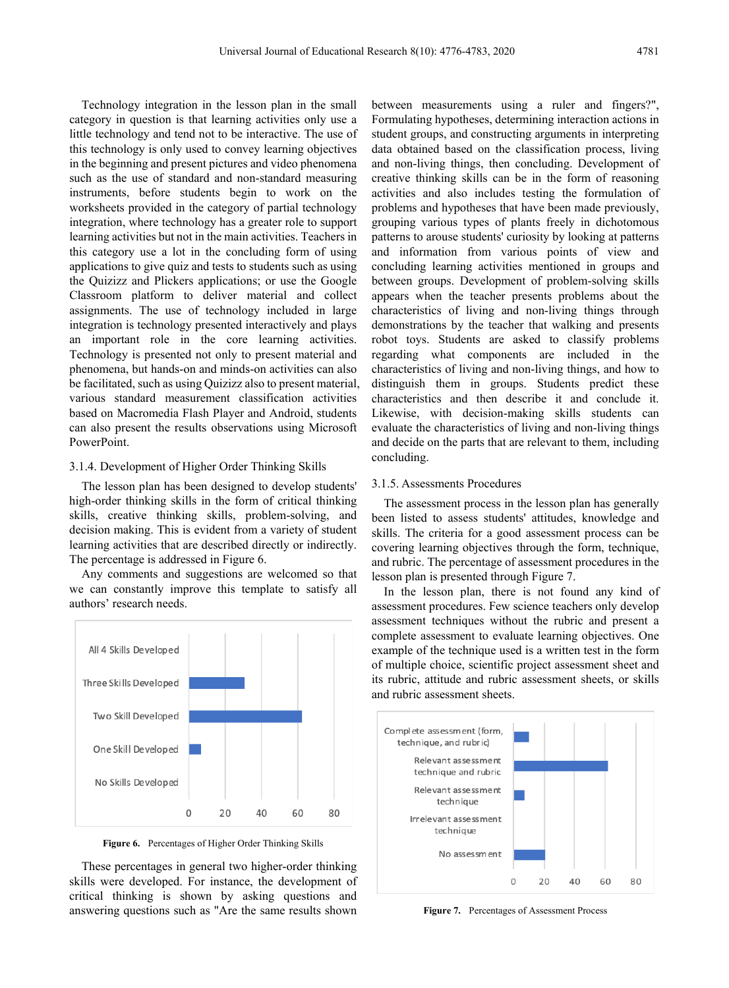Technology integration in the lesson plan in the small category in question is that learning activities only use a little technology and tend not to be interactive. The use of this technology is only used to convey learning objectives in the beginning and present pictures and video phenomena such as the use of standard and non-standard measuring instruments, before students begin to work on the worksheets provided in the category of partial technology integration, where technology has a greater role to support learning activities but not in the main activities. Teachers in this category use a lot in the concluding form of using applications to give quiz and tests to students such as using the Quizizz and Plickers applications; or use the Google Classroom platform to deliver material and collect assignments. The use of technology included in large integration is technology presented interactively and plays an important role in the core learning activities. Technology is presented not only to present material and phenomena, but hands-on and minds-on activities can also be facilitated, such as using Quizizz also to present material, various standard measurement classification activities based on Macromedia Flash Player and Android, students can also present the results observations using Microsoft PowerPoint.

#### 3.1.4. Development of Higher Order Thinking Skills

The lesson plan has been designed to develop students' high-order thinking skills in the form of critical thinking skills, creative thinking skills, problem-solving, and decision making. This is evident from a variety of student learning activities that are described directly or indirectly. The percentage is addressed in Figure 6.

Any comments and suggestions are welcomed so that we can constantly improve this template to satisfy all authors' research needs.



**Figure 6.** Percentages of Higher Order Thinking Skills

These percentages in general two higher-order thinking skills were developed. For instance, the development of critical thinking is shown by asking questions and answering questions such as "Are the same results shown

between measurements using a ruler and fingers?", Formulating hypotheses, determining interaction actions in student groups, and constructing arguments in interpreting data obtained based on the classification process, living and non-living things, then concluding. Development of creative thinking skills can be in the form of reasoning activities and also includes testing the formulation of problems and hypotheses that have been made previously, grouping various types of plants freely in dichotomous patterns to arouse students' curiosity by looking at patterns and information from various points of view and concluding learning activities mentioned in groups and between groups. Development of problem-solving skills appears when the teacher presents problems about the characteristics of living and non-living things through demonstrations by the teacher that walking and presents robot toys. Students are asked to classify problems regarding what components are included in the characteristics of living and non-living things, and how to distinguish them in groups. Students predict these characteristics and then describe it and conclude it. Likewise, with decision-making skills students can evaluate the characteristics of living and non-living things and decide on the parts that are relevant to them, including concluding.

#### 3.1.5. Assessments Procedures

The assessment process in the lesson plan has generally been listed to assess students' attitudes, knowledge and skills. The criteria for a good assessment process can be covering learning objectives through the form, technique, and rubric. The percentage of assessment procedures in the lesson plan is presented through Figure 7.

In the lesson plan, there is not found any kind of assessment procedures. Few science teachers only develop assessment techniques without the rubric and present a complete assessment to evaluate learning objectives. One example of the technique used is a written test in the form of multiple choice, scientific project assessment sheet and its rubric, attitude and rubric assessment sheets, or skills and rubric assessment sheets.



**Figure 7.** Percentages of Assessment Process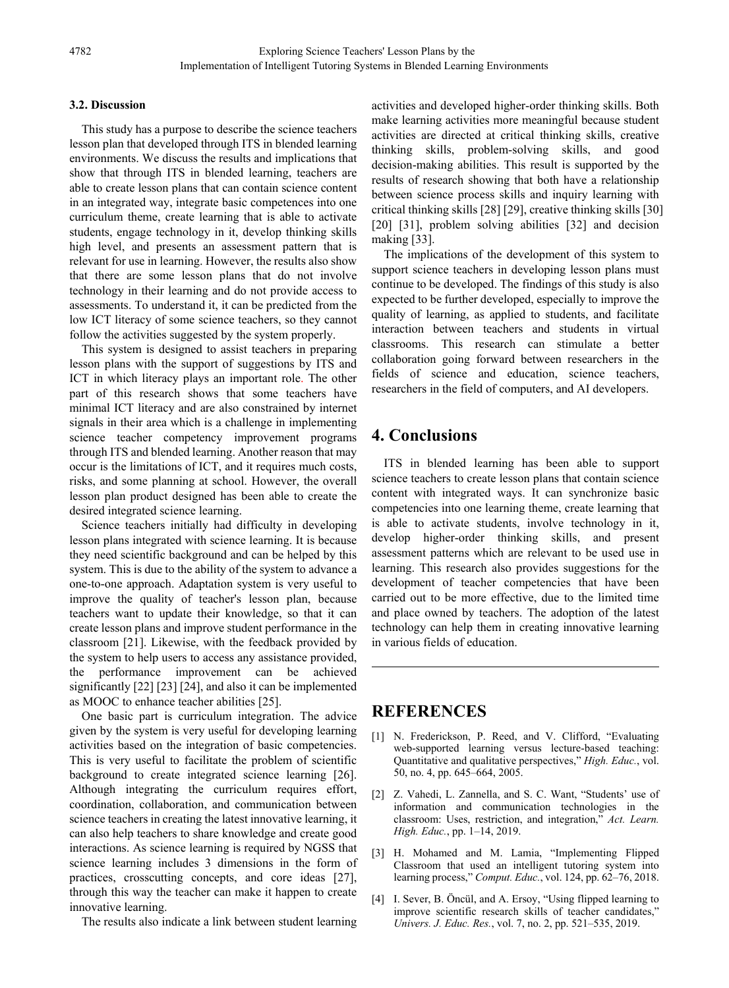#### **3.2. Discussion**

This study has a purpose to describe the science teachers lesson plan that developed through ITS in blended learning environments. We discuss the results and implications that show that through ITS in blended learning, teachers are able to create lesson plans that can contain science content in an integrated way, integrate basic competences into one curriculum theme, create learning that is able to activate students, engage technology in it, develop thinking skills high level, and presents an assessment pattern that is relevant for use in learning. However, the results also show that there are some lesson plans that do not involve technology in their learning and do not provide access to assessments. To understand it, it can be predicted from the low ICT literacy of some science teachers, so they cannot follow the activities suggested by the system properly.

This system is designed to assist teachers in preparing lesson plans with the support of suggestions by ITS and ICT in which literacy plays an important role. The other part of this research shows that some teachers have minimal ICT literacy and are also constrained by internet signals in their area which is a challenge in implementing science teacher competency improvement programs through ITS and blended learning. Another reason that may occur is the limitations of ICT, and it requires much costs, risks, and some planning at school. However, the overall lesson plan product designed has been able to create the desired integrated science learning.

Science teachers initially had difficulty in developing lesson plans integrated with science learning. It is because they need scientific background and can be helped by this system. This is due to the ability of the system to advance a one-to-one approach. Adaptation system is very useful to improve the quality of teacher's lesson plan, because teachers want to update their knowledge, so that it can create lesson plans and improve student performance in the classroom [21]. Likewise, with the feedback provided by the system to help users to access any assistance provided, the performance improvement can be achieved significantly [22] [23] [24], and also it can be implemented as MOOC to enhance teacher abilities [25].

One basic part is curriculum integration. The advice given by the system is very useful for developing learning activities based on the integration of basic competencies. This is very useful to facilitate the problem of scientific background to create integrated science learning [26]. Although integrating the curriculum requires effort, coordination, collaboration, and communication between science teachers in creating the latest innovative learning, it can also help teachers to share knowledge and create good interactions. As science learning is required by NGSS that science learning includes 3 dimensions in the form of practices, crosscutting concepts, and core ideas [27], through this way the teacher can make it happen to create innovative learning.

The results also indicate a link between student learning

activities and developed higher-order thinking skills. Both make learning activities more meaningful because student activities are directed at critical thinking skills, creative thinking skills, problem-solving skills, and good decision-making abilities. This result is supported by the results of research showing that both have a relationship between science process skills and inquiry learning with critical thinking skills [28] [29], creative thinking skills [30] [20] [31], problem solving abilities [32] and decision making [33].

The implications of the development of this system to support science teachers in developing lesson plans must continue to be developed. The findings of this study is also expected to be further developed, especially to improve the quality of learning, as applied to students, and facilitate interaction between teachers and students in virtual classrooms. This research can stimulate a better collaboration going forward between researchers in the fields of science and education, science teachers, researchers in the field of computers, and AI developers.

# **4. Conclusions**

ITS in blended learning has been able to support science teachers to create lesson plans that contain science content with integrated ways. It can synchronize basic competencies into one learning theme, create learning that is able to activate students, involve technology in it, develop higher-order thinking skills, and present assessment patterns which are relevant to be used use in learning. This research also provides suggestions for the development of teacher competencies that have been carried out to be more effective, due to the limited time and place owned by teachers. The adoption of the latest technology can help them in creating innovative learning in various fields of education.

## **REFERENCES**

- [1] N. Frederickson, P. Reed, and V. Clifford, "Evaluating web-supported learning versus lecture-based teaching: Quantitative and qualitative perspectives," *High. Educ.*, vol. 50, no. 4, pp. 645–664, 2005.
- [2] Z. Vahedi, L. Zannella, and S. C. Want, "Students' use of information and communication technologies in the classroom: Uses, restriction, and integration," *Act. Learn. High. Educ.*, pp. 1–14, 2019.
- [3] H. Mohamed and M. Lamia, "Implementing Flipped Classroom that used an intelligent tutoring system into learning process," *Comput. Educ.*, vol. 124, pp. 62–76, 2018.
- [4] I. Sever, B. Öncül, and A. Ersoy, "Using flipped learning to improve scientific research skills of teacher candidates," *Univers. J. Educ. Res.*, vol. 7, no. 2, pp. 521–535, 2019.